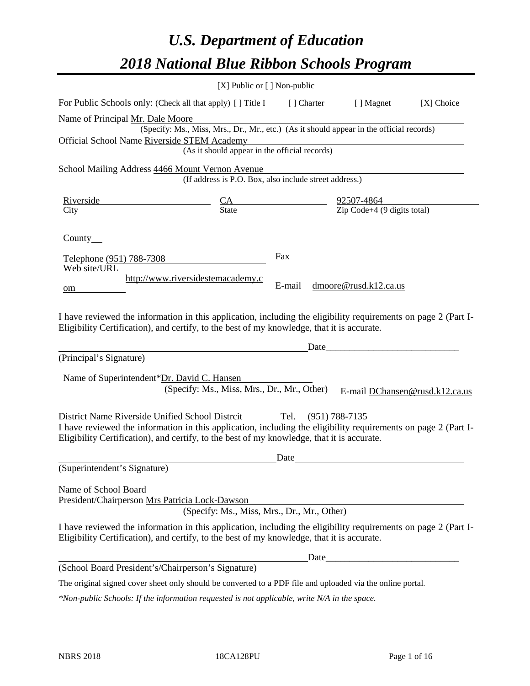# *U.S. Department of Education 2018 National Blue Ribbon Schools Program*

|                                                                                                                                                                                                                                                                 | [X] Public or [] Non-public                                                              |                     |                                                         |                                |
|-----------------------------------------------------------------------------------------------------------------------------------------------------------------------------------------------------------------------------------------------------------------|------------------------------------------------------------------------------------------|---------------------|---------------------------------------------------------|--------------------------------|
| For Public Schools only: (Check all that apply) [] Title I                                                                                                                                                                                                      |                                                                                          | [ ] Charter         | [ ] Magnet                                              | [X] Choice                     |
| Name of Principal Mr. Dale Moore                                                                                                                                                                                                                                |                                                                                          |                     |                                                         |                                |
|                                                                                                                                                                                                                                                                 | (Specify: Ms., Miss, Mrs., Dr., Mr., etc.) (As it should appear in the official records) |                     |                                                         |                                |
| Official School Name Riverside STEM Academy                                                                                                                                                                                                                     |                                                                                          |                     |                                                         |                                |
|                                                                                                                                                                                                                                                                 | (As it should appear in the official records)                                            |                     |                                                         |                                |
| School Mailing Address 4466 Mount Vernon Avenue                                                                                                                                                                                                                 |                                                                                          |                     |                                                         |                                |
|                                                                                                                                                                                                                                                                 | (If address is P.O. Box, also include street address.)                                   |                     |                                                         |                                |
| <u>Riverside</u>                                                                                                                                                                                                                                                |                                                                                          |                     |                                                         |                                |
| City                                                                                                                                                                                                                                                            | $\frac{CA}{State}$                                                                       |                     | $\frac{92507-4864}{\text{Zip Code}+4 (9 digits total)}$ |                                |
| Country<br>Telephone (951) 788-7308                                                                                                                                                                                                                             |                                                                                          | Fax                 |                                                         |                                |
| Web site/URL                                                                                                                                                                                                                                                    |                                                                                          |                     |                                                         |                                |
| om                                                                                                                                                                                                                                                              | http://www.riversidestemacademy.c                                                        | E-mail              | dmoore@rusd.k12.ca.us                                   |                                |
|                                                                                                                                                                                                                                                                 |                                                                                          |                     |                                                         |                                |
| Eligibility Certification), and certify, to the best of my knowledge, that it is accurate.<br>(Principal's Signature)                                                                                                                                           |                                                                                          | Date                |                                                         |                                |
| Name of Superintendent*Dr. David C. Hansen                                                                                                                                                                                                                      |                                                                                          |                     |                                                         |                                |
|                                                                                                                                                                                                                                                                 | (Specify: Ms., Miss, Mrs., Dr., Mr., Other)                                              |                     |                                                         | E-mail DChansen@rusd.k12.ca.us |
| District Name Riverside Unified School Distrcit<br>I have reviewed the information in this application, including the eligibility requirements on page 2 (Part I-<br>Eligibility Certification), and certify, to the best of my knowledge, that it is accurate. |                                                                                          | Tel. (951) 788-7135 |                                                         |                                |
|                                                                                                                                                                                                                                                                 |                                                                                          | Date                |                                                         |                                |
| (Superintendent's Signature)                                                                                                                                                                                                                                    |                                                                                          |                     |                                                         |                                |
| Name of School Board<br>President/Chairperson Mrs Patricia Lock-Dawson                                                                                                                                                                                          | (Specify: Ms., Miss, Mrs., Dr., Mr., Other)                                              |                     |                                                         |                                |
| I have reviewed the information in this application, including the eligibility requirements on page 2 (Part I-<br>Eligibility Certification), and certify, to the best of my knowledge, that it is accurate.                                                    |                                                                                          |                     |                                                         |                                |
|                                                                                                                                                                                                                                                                 |                                                                                          |                     |                                                         |                                |
| (School Board President's/Chairperson's Signature)                                                                                                                                                                                                              |                                                                                          |                     |                                                         |                                |
| The original signed cover sheet only should be converted to a PDF file and uploaded via the online portal.                                                                                                                                                      |                                                                                          |                     |                                                         |                                |

*\*Non-public Schools: If the information requested is not applicable, write N/A in the space.*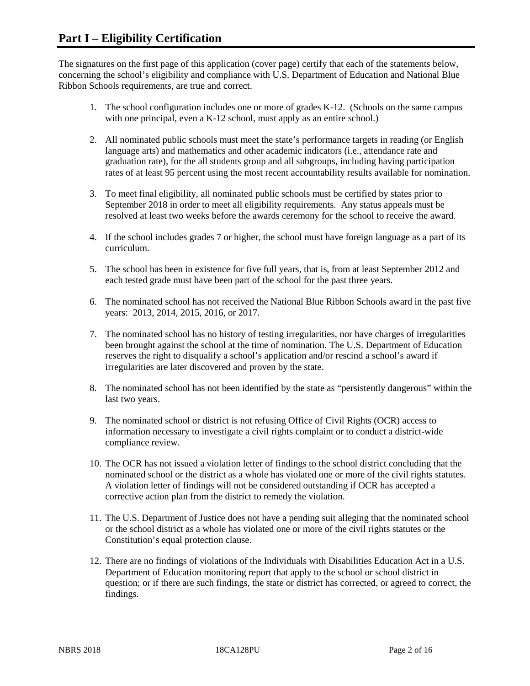The signatures on the first page of this application (cover page) certify that each of the statements below, concerning the school's eligibility and compliance with U.S. Department of Education and National Blue Ribbon Schools requirements, are true and correct.

- 1. The school configuration includes one or more of grades K-12. (Schools on the same campus with one principal, even a K-12 school, must apply as an entire school.)
- 2. All nominated public schools must meet the state's performance targets in reading (or English language arts) and mathematics and other academic indicators (i.e., attendance rate and graduation rate), for the all students group and all subgroups, including having participation rates of at least 95 percent using the most recent accountability results available for nomination.
- 3. To meet final eligibility, all nominated public schools must be certified by states prior to September 2018 in order to meet all eligibility requirements. Any status appeals must be resolved at least two weeks before the awards ceremony for the school to receive the award.
- 4. If the school includes grades 7 or higher, the school must have foreign language as a part of its curriculum.
- 5. The school has been in existence for five full years, that is, from at least September 2012 and each tested grade must have been part of the school for the past three years.
- 6. The nominated school has not received the National Blue Ribbon Schools award in the past five years: 2013, 2014, 2015, 2016, or 2017.
- 7. The nominated school has no history of testing irregularities, nor have charges of irregularities been brought against the school at the time of nomination. The U.S. Department of Education reserves the right to disqualify a school's application and/or rescind a school's award if irregularities are later discovered and proven by the state.
- 8. The nominated school has not been identified by the state as "persistently dangerous" within the last two years.
- 9. The nominated school or district is not refusing Office of Civil Rights (OCR) access to information necessary to investigate a civil rights complaint or to conduct a district-wide compliance review.
- 10. The OCR has not issued a violation letter of findings to the school district concluding that the nominated school or the district as a whole has violated one or more of the civil rights statutes. A violation letter of findings will not be considered outstanding if OCR has accepted a corrective action plan from the district to remedy the violation.
- 11. The U.S. Department of Justice does not have a pending suit alleging that the nominated school or the school district as a whole has violated one or more of the civil rights statutes or the Constitution's equal protection clause.
- 12. There are no findings of violations of the Individuals with Disabilities Education Act in a U.S. Department of Education monitoring report that apply to the school or school district in question; or if there are such findings, the state or district has corrected, or agreed to correct, the findings.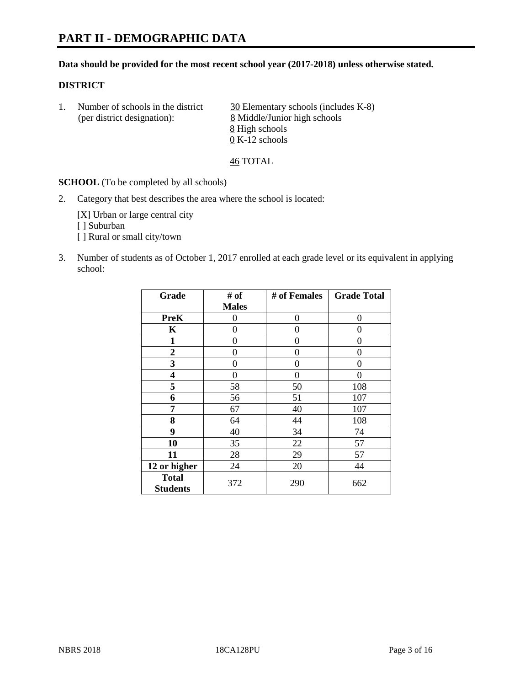# **PART II - DEMOGRAPHIC DATA**

#### **Data should be provided for the most recent school year (2017-2018) unless otherwise stated.**

### **DISTRICT**

1. Number of schools in the district  $\frac{30}{20}$  Elementary schools (includes K-8) (per district designation): 8 Middle/Junior high schools 8 High schools 0 K-12 schools

46 TOTAL

**SCHOOL** (To be completed by all schools)

2. Category that best describes the area where the school is located:

[X] Urban or large central city [ ] Suburban [] Rural or small city/town

3. Number of students as of October 1, 2017 enrolled at each grade level or its equivalent in applying school:

| Grade                           | # of         | # of Females | <b>Grade Total</b> |
|---------------------------------|--------------|--------------|--------------------|
|                                 | <b>Males</b> |              |                    |
| <b>PreK</b>                     | 0            | 0            | 0                  |
| K                               | 0            | 0            | 0                  |
| $\mathbf{1}$                    | 0            | 0            | 0                  |
| 2                               | 0            | 0            | 0                  |
| 3                               | 0            | 0            | 0                  |
| 4                               | 0            | $\Omega$     | 0                  |
| 5                               | 58           | 50           | 108                |
| 6                               | 56           | 51           | 107                |
| 7                               | 67           | 40           | 107                |
| 8                               | 64           | 44           | 108                |
| 9                               | 40           | 34           | 74                 |
| 10                              | 35           | 22           | 57                 |
| 11                              | 28           | 29           | 57                 |
| 12 or higher                    | 24           | 20           | 44                 |
| <b>Total</b><br><b>Students</b> | 372          | 290          | 662                |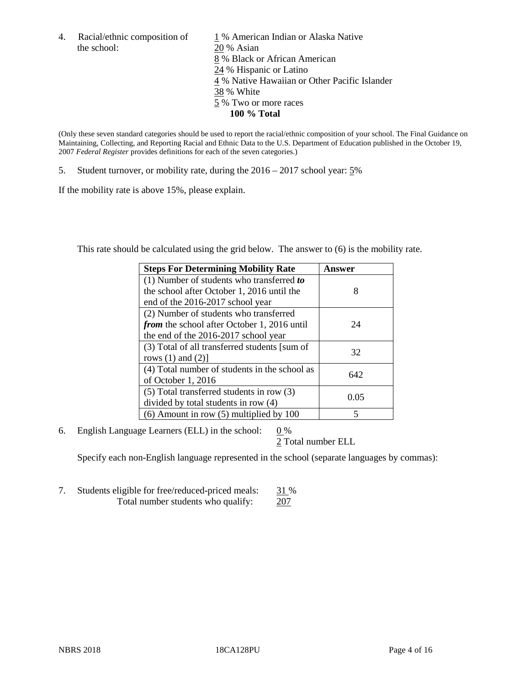4. Racial/ethnic composition of  $\frac{1}{20}$  % American Indian or Alaska Native the school:  $\frac{20}{8}$  Asian 20 % Asian 8 % Black or African American 24 % Hispanic or Latino 4 % Native Hawaiian or Other Pacific Islander 38 % White 5 % Two or more races **100 % Total**

(Only these seven standard categories should be used to report the racial/ethnic composition of your school. The Final Guidance on Maintaining, Collecting, and Reporting Racial and Ethnic Data to the U.S. Department of Education published in the October 19, 2007 *Federal Register* provides definitions for each of the seven categories.)

5. Student turnover, or mobility rate, during the 2016 – 2017 school year: 5%

If the mobility rate is above 15%, please explain.

This rate should be calculated using the grid below. The answer to (6) is the mobility rate.

| <b>Steps For Determining Mobility Rate</b>         | Answer |
|----------------------------------------------------|--------|
| (1) Number of students who transferred to          |        |
| the school after October 1, 2016 until the         | 8      |
| end of the 2016-2017 school year                   |        |
| (2) Number of students who transferred             |        |
| <i>from</i> the school after October 1, 2016 until | 24     |
| the end of the 2016-2017 school year               |        |
| (3) Total of all transferred students [sum of      | 32     |
| rows $(1)$ and $(2)$ ]                             |        |
| (4) Total number of students in the school as      |        |
| of October 1, 2016                                 | 642    |
| (5) Total transferred students in row (3)          |        |
| divided by total students in row (4)               | 0.05   |
| $(6)$ Amount in row $(5)$ multiplied by 100        | 5      |

6. English Language Learners (ELL) in the school:  $0\%$ 

2 Total number ELL

Specify each non-English language represented in the school (separate languages by commas):

7. Students eligible for free/reduced-priced meals: 31 % Total number students who qualify: 207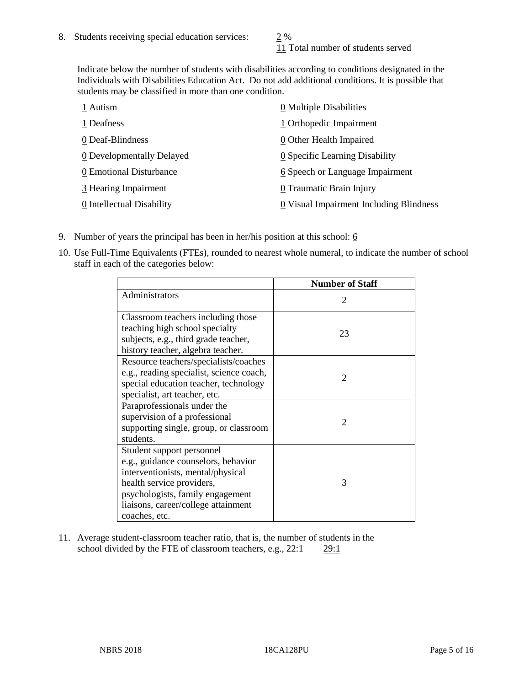11 Total number of students served

Indicate below the number of students with disabilities according to conditions designated in the Individuals with Disabilities Education Act. Do not add additional conditions. It is possible that students may be classified in more than one condition.

| 1 Autism                  | 0 Multiple Disabilities                 |
|---------------------------|-----------------------------------------|
| 1 Deafness                | 1 Orthopedic Impairment                 |
| 0 Deaf-Blindness          | 0 Other Health Impaired                 |
| 0 Developmentally Delayed | 0 Specific Learning Disability          |
| 0 Emotional Disturbance   | 6 Speech or Language Impairment         |
| 3 Hearing Impairment      | 0 Traumatic Brain Injury                |
| 0 Intellectual Disability | 0 Visual Impairment Including Blindness |

- 9. Number of years the principal has been in her/his position at this school:  $6$
- 10. Use Full-Time Equivalents (FTEs), rounded to nearest whole numeral, to indicate the number of school staff in each of the categories below:

|                                                                                                                                                                                                                                | <b>Number of Staff</b>      |
|--------------------------------------------------------------------------------------------------------------------------------------------------------------------------------------------------------------------------------|-----------------------------|
| Administrators                                                                                                                                                                                                                 | $\mathcal{D}_{\mathcal{L}}$ |
| Classroom teachers including those<br>teaching high school specialty<br>subjects, e.g., third grade teacher,<br>history teacher, algebra teacher.                                                                              | 23                          |
| Resource teachers/specialists/coaches<br>e.g., reading specialist, science coach,<br>special education teacher, technology<br>specialist, art teacher, etc.                                                                    | $\mathcal{D}_{\mathcal{L}}$ |
| Paraprofessionals under the<br>supervision of a professional<br>supporting single, group, or classroom<br>students.                                                                                                            | $\mathfrak{D}$              |
| Student support personnel<br>e.g., guidance counselors, behavior<br>interventionists, mental/physical<br>health service providers,<br>psychologists, family engagement<br>liaisons, career/college attainment<br>coaches, etc. | 3                           |

11. Average student-classroom teacher ratio, that is, the number of students in the school divided by the FTE of classroom teachers, e.g., 22:1 29:1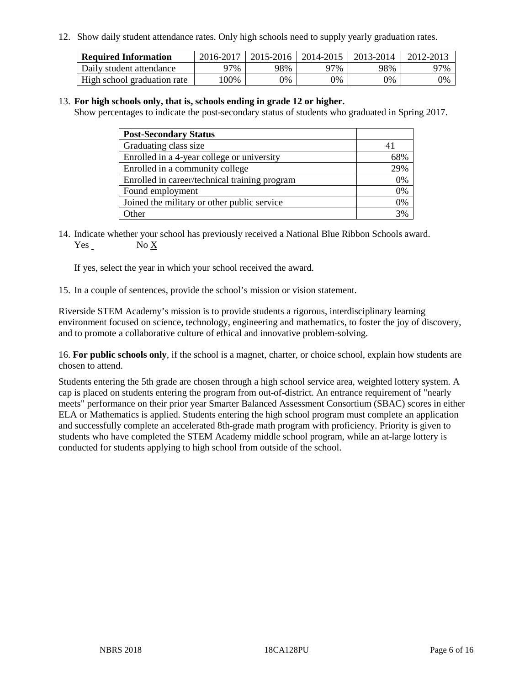12. Show daily student attendance rates. Only high schools need to supply yearly graduation rates.

| <b>Required Information</b> | 2016-2017 | $2015 - 2016$ | 2014-2015 | 2013-2014 | 2012-2013 |
|-----------------------------|-----------|---------------|-----------|-----------|-----------|
| Daily student attendance    | 97%       | 98%           | 97%       | 98%       | 97%       |
| High school graduation rate | .00%      | 0%            | 0%        | 9%        | 9%        |

### 13. **For high schools only, that is, schools ending in grade 12 or higher.**

Show percentages to indicate the post-secondary status of students who graduated in Spring 2017.

| <b>Post-Secondary Status</b>                  |     |
|-----------------------------------------------|-----|
| Graduating class size                         |     |
| Enrolled in a 4-year college or university    | 68% |
| Enrolled in a community college               | 29% |
| Enrolled in career/technical training program | 0%  |
| Found employment                              | 0%  |
| Joined the military or other public service   | 0%  |
| Other                                         | 3%  |

14. Indicate whether your school has previously received a National Blue Ribbon Schools award. Yes No X

If yes, select the year in which your school received the award.

15. In a couple of sentences, provide the school's mission or vision statement.

Riverside STEM Academy's mission is to provide students a rigorous, interdisciplinary learning environment focused on science, technology, engineering and mathematics, to foster the joy of discovery, and to promote a collaborative culture of ethical and innovative problem-solving.

16. **For public schools only**, if the school is a magnet, charter, or choice school, explain how students are chosen to attend.

Students entering the 5th grade are chosen through a high school service area, weighted lottery system. A cap is placed on students entering the program from out-of-district. An entrance requirement of "nearly meets" performance on their prior year Smarter Balanced Assessment Consortium (SBAC) scores in either ELA or Mathematics is applied. Students entering the high school program must complete an application and successfully complete an accelerated 8th-grade math program with proficiency. Priority is given to students who have completed the STEM Academy middle school program, while an at-large lottery is conducted for students applying to high school from outside of the school.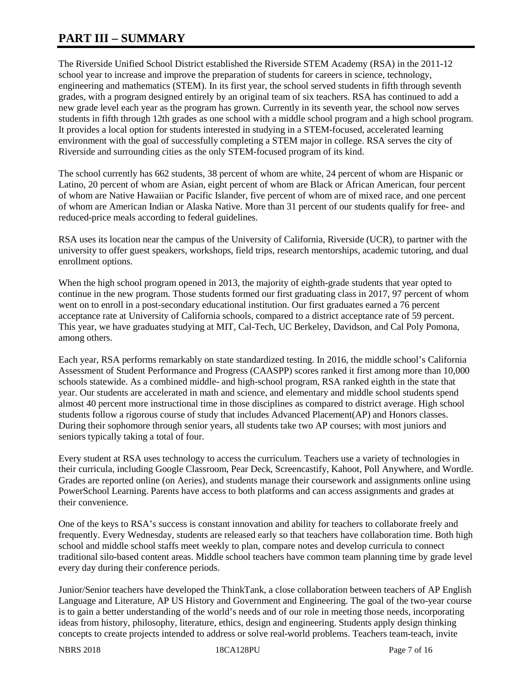# **PART III – SUMMARY**

The Riverside Unified School District established the Riverside STEM Academy (RSA) in the 2011-12 school year to increase and improve the preparation of students for careers in science, technology, engineering and mathematics (STEM). In its first year, the school served students in fifth through seventh grades, with a program designed entirely by an original team of six teachers. RSA has continued to add a new grade level each year as the program has grown. Currently in its seventh year, the school now serves students in fifth through 12th grades as one school with a middle school program and a high school program. It provides a local option for students interested in studying in a STEM-focused, accelerated learning environment with the goal of successfully completing a STEM major in college. RSA serves the city of Riverside and surrounding cities as the only STEM-focused program of its kind.

The school currently has 662 students, 38 percent of whom are white, 24 percent of whom are Hispanic or Latino, 20 percent of whom are Asian, eight percent of whom are Black or African American, four percent of whom are Native Hawaiian or Pacific Islander, five percent of whom are of mixed race, and one percent of whom are American Indian or Alaska Native. More than 31 percent of our students qualify for free- and reduced-price meals according to federal guidelines.

RSA uses its location near the campus of the University of California, Riverside (UCR), to partner with the university to offer guest speakers, workshops, field trips, research mentorships, academic tutoring, and dual enrollment options.

When the high school program opened in 2013, the majority of eighth-grade students that year opted to continue in the new program. Those students formed our first graduating class in 2017, 97 percent of whom went on to enroll in a post-secondary educational institution. Our first graduates earned a 76 percent acceptance rate at University of California schools, compared to a district acceptance rate of 59 percent. This year, we have graduates studying at MIT, Cal-Tech, UC Berkeley, Davidson, and Cal Poly Pomona, among others.

Each year, RSA performs remarkably on state standardized testing. In 2016, the middle school's California Assessment of Student Performance and Progress (CAASPP) scores ranked it first among more than 10,000 schools statewide. As a combined middle- and high-school program, RSA ranked eighth in the state that year. Our students are accelerated in math and science, and elementary and middle school students spend almost 40 percent more instructional time in those disciplines as compared to district average. High school students follow a rigorous course of study that includes Advanced Placement(AP) and Honors classes. During their sophomore through senior years, all students take two AP courses; with most juniors and seniors typically taking a total of four.

Every student at RSA uses technology to access the curriculum. Teachers use a variety of technologies in their curricula, including Google Classroom, Pear Deck, Screencastify, Kahoot, Poll Anywhere, and Wordle. Grades are reported online (on Aeries), and students manage their coursework and assignments online using PowerSchool Learning. Parents have access to both platforms and can access assignments and grades at their convenience.

One of the keys to RSA's success is constant innovation and ability for teachers to collaborate freely and frequently. Every Wednesday, students are released early so that teachers have collaboration time. Both high school and middle school staffs meet weekly to plan, compare notes and develop curricula to connect traditional silo-based content areas. Middle school teachers have common team planning time by grade level every day during their conference periods.

Junior/Senior teachers have developed the ThinkTank, a close collaboration between teachers of AP English Language and Literature, AP US History and Government and Engineering. The goal of the two-year course is to gain a better understanding of the world's needs and of our role in meeting those needs, incorporating ideas from history, philosophy, literature, ethics, design and engineering. Students apply design thinking concepts to create projects intended to address or solve real-world problems. Teachers team-teach, invite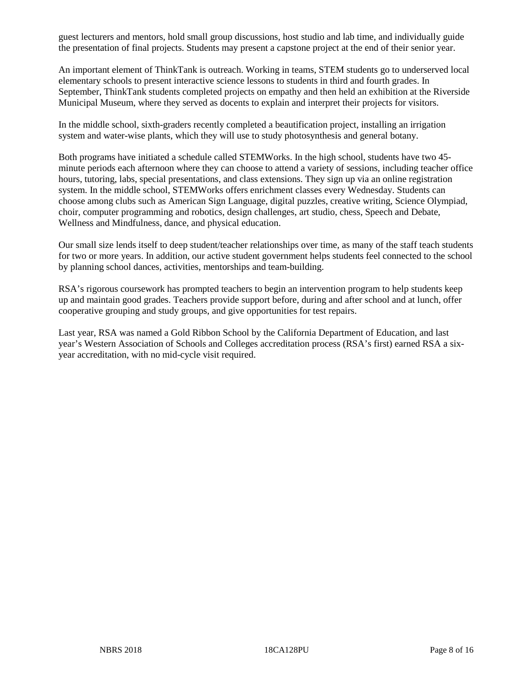guest lecturers and mentors, hold small group discussions, host studio and lab time, and individually guide the presentation of final projects. Students may present a capstone project at the end of their senior year.

An important element of ThinkTank is outreach. Working in teams, STEM students go to underserved local elementary schools to present interactive science lessons to students in third and fourth grades. In September, ThinkTank students completed projects on empathy and then held an exhibition at the Riverside Municipal Museum, where they served as docents to explain and interpret their projects for visitors.

In the middle school, sixth-graders recently completed a beautification project, installing an irrigation system and water-wise plants, which they will use to study photosynthesis and general botany.

Both programs have initiated a schedule called STEMWorks. In the high school, students have two 45 minute periods each afternoon where they can choose to attend a variety of sessions, including teacher office hours, tutoring, labs, special presentations, and class extensions. They sign up via an online registration system. In the middle school, STEMWorks offers enrichment classes every Wednesday. Students can choose among clubs such as American Sign Language, digital puzzles, creative writing, Science Olympiad, choir, computer programming and robotics, design challenges, art studio, chess, Speech and Debate, Wellness and Mindfulness, dance, and physical education.

Our small size lends itself to deep student/teacher relationships over time, as many of the staff teach students for two or more years. In addition, our active student government helps students feel connected to the school by planning school dances, activities, mentorships and team-building.

RSA's rigorous coursework has prompted teachers to begin an intervention program to help students keep up and maintain good grades. Teachers provide support before, during and after school and at lunch, offer cooperative grouping and study groups, and give opportunities for test repairs.

Last year, RSA was named a Gold Ribbon School by the California Department of Education, and last year's Western Association of Schools and Colleges accreditation process (RSA's first) earned RSA a sixyear accreditation, with no mid-cycle visit required.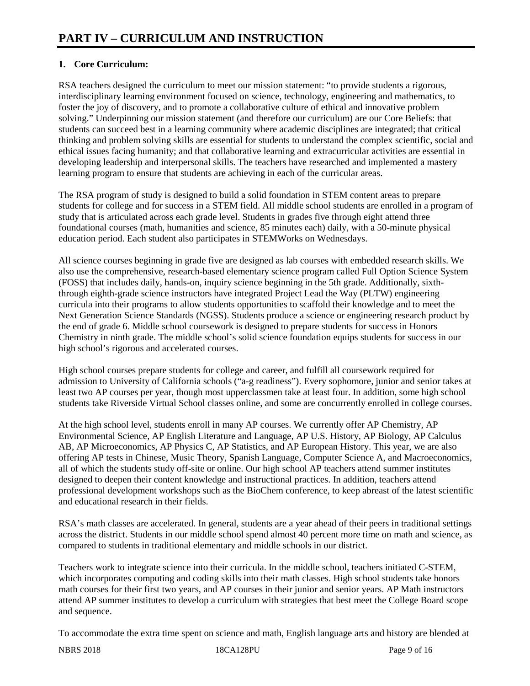# **1. Core Curriculum:**

RSA teachers designed the curriculum to meet our mission statement: "to provide students a rigorous, interdisciplinary learning environment focused on science, technology, engineering and mathematics, to foster the joy of discovery, and to promote a collaborative culture of ethical and innovative problem solving." Underpinning our mission statement (and therefore our curriculum) are our Core Beliefs: that students can succeed best in a learning community where academic disciplines are integrated; that critical thinking and problem solving skills are essential for students to understand the complex scientific, social and ethical issues facing humanity; and that collaborative learning and extracurricular activities are essential in developing leadership and interpersonal skills. The teachers have researched and implemented a mastery learning program to ensure that students are achieving in each of the curricular areas.

The RSA program of study is designed to build a solid foundation in STEM content areas to prepare students for college and for success in a STEM field. All middle school students are enrolled in a program of study that is articulated across each grade level. Students in grades five through eight attend three foundational courses (math, humanities and science, 85 minutes each) daily, with a 50-minute physical education period. Each student also participates in STEMWorks on Wednesdays.

All science courses beginning in grade five are designed as lab courses with embedded research skills. We also use the comprehensive, research-based elementary science program called Full Option Science System (FOSS) that includes daily, hands-on, inquiry science beginning in the 5th grade. Additionally, sixththrough eighth-grade science instructors have integrated Project Lead the Way (PLTW) engineering curricula into their programs to allow students opportunities to scaffold their knowledge and to meet the Next Generation Science Standards (NGSS). Students produce a science or engineering research product by the end of grade 6. Middle school coursework is designed to prepare students for success in Honors Chemistry in ninth grade. The middle school's solid science foundation equips students for success in our high school's rigorous and accelerated courses.

High school courses prepare students for college and career, and fulfill all coursework required for admission to University of California schools ("a-g readiness"). Every sophomore, junior and senior takes at least two AP courses per year, though most upperclassmen take at least four. In addition, some high school students take Riverside Virtual School classes online, and some are concurrently enrolled in college courses.

At the high school level, students enroll in many AP courses. We currently offer AP Chemistry, AP Environmental Science, AP English Literature and Language, AP U.S. History, AP Biology, AP Calculus AB, AP Microeconomics, AP Physics C, AP Statistics, and AP European History. This year, we are also offering AP tests in Chinese, Music Theory, Spanish Language, Computer Science A, and Macroeconomics, all of which the students study off-site or online. Our high school AP teachers attend summer institutes designed to deepen their content knowledge and instructional practices. In addition, teachers attend professional development workshops such as the BioChem conference, to keep abreast of the latest scientific and educational research in their fields.

RSA's math classes are accelerated. In general, students are a year ahead of their peers in traditional settings across the district. Students in our middle school spend almost 40 percent more time on math and science, as compared to students in traditional elementary and middle schools in our district.

Teachers work to integrate science into their curricula. In the middle school, teachers initiated C-STEM, which incorporates computing and coding skills into their math classes. High school students take honors math courses for their first two years, and AP courses in their junior and senior years. AP Math instructors attend AP summer institutes to develop a curriculum with strategies that best meet the College Board scope and sequence.

To accommodate the extra time spent on science and math, English language arts and history are blended at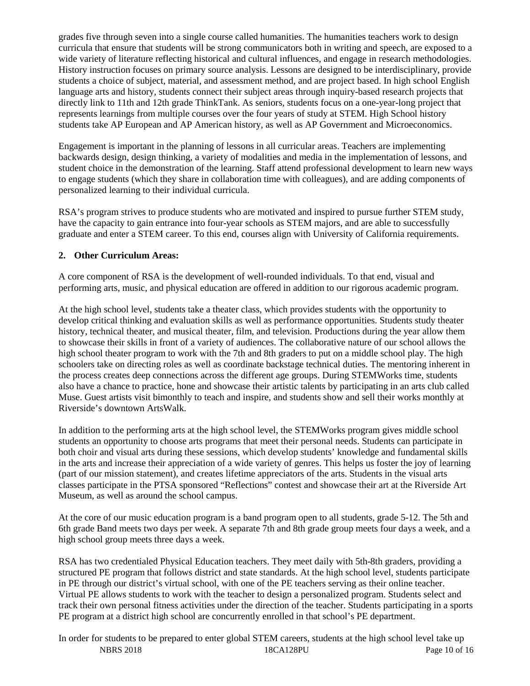grades five through seven into a single course called humanities. The humanities teachers work to design curricula that ensure that students will be strong communicators both in writing and speech, are exposed to a wide variety of literature reflecting historical and cultural influences, and engage in research methodologies. History instruction focuses on primary source analysis. Lessons are designed to be interdisciplinary, provide students a choice of subject, material, and assessment method, and are project based. In high school English language arts and history, students connect their subject areas through inquiry-based research projects that directly link to 11th and 12th grade ThinkTank. As seniors, students focus on a one-year-long project that represents learnings from multiple courses over the four years of study at STEM. High School history students take AP European and AP American history, as well as AP Government and Microeconomics.

Engagement is important in the planning of lessons in all curricular areas. Teachers are implementing backwards design, design thinking, a variety of modalities and media in the implementation of lessons, and student choice in the demonstration of the learning. Staff attend professional development to learn new ways to engage students (which they share in collaboration time with colleagues), and are adding components of personalized learning to their individual curricula.

RSA's program strives to produce students who are motivated and inspired to pursue further STEM study, have the capacity to gain entrance into four-year schools as STEM majors, and are able to successfully graduate and enter a STEM career. To this end, courses align with University of California requirements.

# **2. Other Curriculum Areas:**

A core component of RSA is the development of well-rounded individuals. To that end, visual and performing arts, music, and physical education are offered in addition to our rigorous academic program.

At the high school level, students take a theater class, which provides students with the opportunity to develop critical thinking and evaluation skills as well as performance opportunities. Students study theater history, technical theater, and musical theater, film, and television. Productions during the year allow them to showcase their skills in front of a variety of audiences. The collaborative nature of our school allows the high school theater program to work with the 7th and 8th graders to put on a middle school play. The high schoolers take on directing roles as well as coordinate backstage technical duties. The mentoring inherent in the process creates deep connections across the different age groups. During STEMWorks time, students also have a chance to practice, hone and showcase their artistic talents by participating in an arts club called Muse. Guest artists visit bimonthly to teach and inspire, and students show and sell their works monthly at Riverside's downtown ArtsWalk.

In addition to the performing arts at the high school level, the STEMWorks program gives middle school students an opportunity to choose arts programs that meet their personal needs. Students can participate in both choir and visual arts during these sessions, which develop students' knowledge and fundamental skills in the arts and increase their appreciation of a wide variety of genres. This helps us foster the joy of learning (part of our mission statement), and creates lifetime appreciators of the arts. Students in the visual arts classes participate in the PTSA sponsored "Reflections" contest and showcase their art at the Riverside Art Museum, as well as around the school campus.

At the core of our music education program is a band program open to all students, grade 5-12. The 5th and 6th grade Band meets two days per week. A separate 7th and 8th grade group meets four days a week, and a high school group meets three days a week.

RSA has two credentialed Physical Education teachers. They meet daily with 5th-8th graders, providing a structured PE program that follows district and state standards. At the high school level, students participate in PE through our district's virtual school, with one of the PE teachers serving as their online teacher. Virtual PE allows students to work with the teacher to design a personalized program. Students select and track their own personal fitness activities under the direction of the teacher. Students participating in a sports PE program at a district high school are concurrently enrolled in that school's PE department.

NBRS 2018 18CA128PU Page 10 of 16 In order for students to be prepared to enter global STEM careers, students at the high school level take up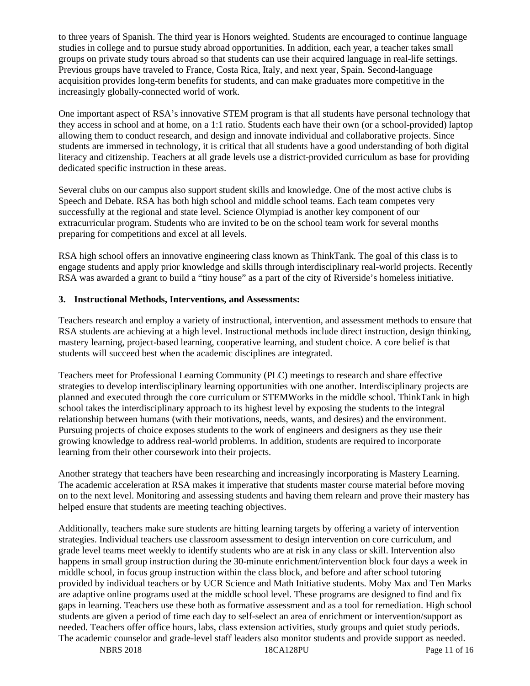to three years of Spanish. The third year is Honors weighted. Students are encouraged to continue language studies in college and to pursue study abroad opportunities. In addition, each year, a teacher takes small groups on private study tours abroad so that students can use their acquired language in real-life settings. Previous groups have traveled to France, Costa Rica, Italy, and next year, Spain. Second-language acquisition provides long-term benefits for students, and can make graduates more competitive in the increasingly globally-connected world of work.

One important aspect of RSA's innovative STEM program is that all students have personal technology that they access in school and at home, on a 1:1 ratio. Students each have their own (or a school-provided) laptop allowing them to conduct research, and design and innovate individual and collaborative projects. Since students are immersed in technology, it is critical that all students have a good understanding of both digital literacy and citizenship. Teachers at all grade levels use a district-provided curriculum as base for providing dedicated specific instruction in these areas.

Several clubs on our campus also support student skills and knowledge. One of the most active clubs is Speech and Debate. RSA has both high school and middle school teams. Each team competes very successfully at the regional and state level. Science Olympiad is another key component of our extracurricular program. Students who are invited to be on the school team work for several months preparing for competitions and excel at all levels.

RSA high school offers an innovative engineering class known as ThinkTank. The goal of this class is to engage students and apply prior knowledge and skills through interdisciplinary real-world projects. Recently RSA was awarded a grant to build a "tiny house" as a part of the city of Riverside's homeless initiative.

# **3. Instructional Methods, Interventions, and Assessments:**

Teachers research and employ a variety of instructional, intervention, and assessment methods to ensure that RSA students are achieving at a high level. Instructional methods include direct instruction, design thinking, mastery learning, project-based learning, cooperative learning, and student choice. A core belief is that students will succeed best when the academic disciplines are integrated.

Teachers meet for Professional Learning Community (PLC) meetings to research and share effective strategies to develop interdisciplinary learning opportunities with one another. Interdisciplinary projects are planned and executed through the core curriculum or STEMWorks in the middle school. ThinkTank in high school takes the interdisciplinary approach to its highest level by exposing the students to the integral relationship between humans (with their motivations, needs, wants, and desires) and the environment. Pursuing projects of choice exposes students to the work of engineers and designers as they use their growing knowledge to address real-world problems. In addition, students are required to incorporate learning from their other coursework into their projects.

Another strategy that teachers have been researching and increasingly incorporating is Mastery Learning. The academic acceleration at RSA makes it imperative that students master course material before moving on to the next level. Monitoring and assessing students and having them relearn and prove their mastery has helped ensure that students are meeting teaching objectives.

Additionally, teachers make sure students are hitting learning targets by offering a variety of intervention strategies. Individual teachers use classroom assessment to design intervention on core curriculum, and grade level teams meet weekly to identify students who are at risk in any class or skill. Intervention also happens in small group instruction during the 30-minute enrichment/intervention block four days a week in middle school, in focus group instruction within the class block, and before and after school tutoring provided by individual teachers or by UCR Science and Math Initiative students. Moby Max and Ten Marks are adaptive online programs used at the middle school level. These programs are designed to find and fix gaps in learning. Teachers use these both as formative assessment and as a tool for remediation. High school students are given a period of time each day to self-select an area of enrichment or intervention/support as needed. Teachers offer office hours, labs, class extension activities, study groups and quiet study periods. The academic counselor and grade-level staff leaders also monitor students and provide support as needed.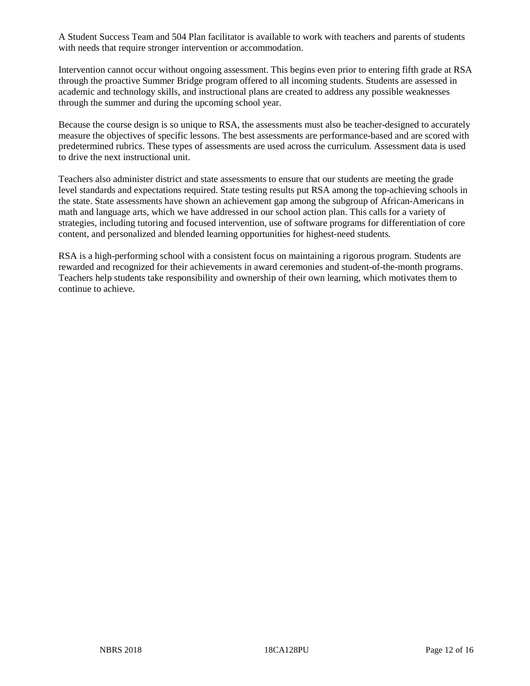A Student Success Team and 504 Plan facilitator is available to work with teachers and parents of students with needs that require stronger intervention or accommodation.

Intervention cannot occur without ongoing assessment. This begins even prior to entering fifth grade at RSA through the proactive Summer Bridge program offered to all incoming students. Students are assessed in academic and technology skills, and instructional plans are created to address any possible weaknesses through the summer and during the upcoming school year.

Because the course design is so unique to RSA, the assessments must also be teacher-designed to accurately measure the objectives of specific lessons. The best assessments are performance-based and are scored with predetermined rubrics. These types of assessments are used across the curriculum. Assessment data is used to drive the next instructional unit.

Teachers also administer district and state assessments to ensure that our students are meeting the grade level standards and expectations required. State testing results put RSA among the top-achieving schools in the state. State assessments have shown an achievement gap among the subgroup of African-Americans in math and language arts, which we have addressed in our school action plan. This calls for a variety of strategies, including tutoring and focused intervention, use of software programs for differentiation of core content, and personalized and blended learning opportunities for highest-need students.

RSA is a high-performing school with a consistent focus on maintaining a rigorous program. Students are rewarded and recognized for their achievements in award ceremonies and student-of-the-month programs. Teachers help students take responsibility and ownership of their own learning, which motivates them to continue to achieve.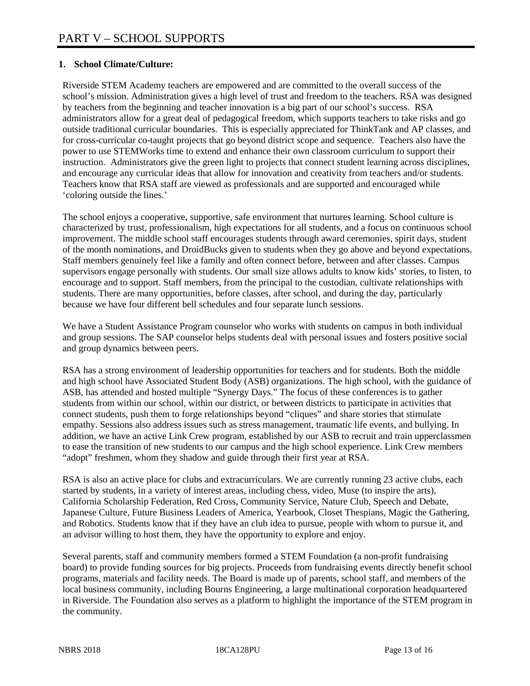# **1. School Climate/Culture:**

Riverside STEM Academy teachers are empowered and are committed to the overall success of the school's mission. Administration gives a high level of trust and freedom to the teachers. RSA was designed by teachers from the beginning and teacher innovation is a big part of our school's success. RSA administrators allow for a great deal of pedagogical freedom, which supports teachers to take risks and go outside traditional curricular boundaries. This is especially appreciated for ThinkTank and AP classes, and for cross-curricular co-taught projects that go beyond district scope and sequence. Teachers also have the power to use STEMWorks time to extend and enhance their own classroom curriculum to support their instruction. Administrators give the green light to projects that connect student learning across disciplines, and encourage any curricular ideas that allow for innovation and creativity from teachers and/or students. Teachers know that RSA staff are viewed as professionals and are supported and encouraged while 'coloring outside the lines.'

The school enjoys a cooperative, supportive, safe environment that nurtures learning. School culture is characterized by trust, professionalism, high expectations for all students, and a focus on continuous school improvement. The middle school staff encourages students through award ceremonies, spirit days, student of the month nominations, and DroidBucks given to students when they go above and beyond expectations. Staff members genuinely feel like a family and often connect before, between and after classes. Campus supervisors engage personally with students. Our small size allows adults to know kids' stories, to listen, to encourage and to support. Staff members, from the principal to the custodian, cultivate relationships with students. There are many opportunities, before classes, after school, and during the day, particularly because we have four different bell schedules and four separate lunch sessions.

We have a Student Assistance Program counselor who works with students on campus in both individual and group sessions. The SAP counselor helps students deal with personal issues and fosters positive social and group dynamics between peers.

RSA has a strong environment of leadership opportunities for teachers and for students. Both the middle and high school have Associated Student Body (ASB) organizations. The high school, with the guidance of ASB, has attended and hosted multiple "Synergy Days." The focus of these conferences is to gather students from within our school, within our district, or between districts to participate in activities that connect students, push them to forge relationships beyond "cliques" and share stories that stimulate empathy. Sessions also address issues such as stress management, traumatic life events, and bullying. In addition, we have an active Link Crew program, established by our ASB to recruit and train upperclassmen to ease the transition of new students to our campus and the high school experience. Link Crew members "adopt" freshmen, whom they shadow and guide through their first year at RSA.

RSA is also an active place for clubs and extracurriculars. We are currently running 23 active clubs, each started by students, in a variety of interest areas, including chess, video, Muse (to inspire the arts), California Scholarship Federation, Red Cross, Community Service, Nature Club, Speech and Debate, Japanese Culture, Future Business Leaders of America, Yearbook, Closet Thespians, Magic the Gathering, and Robotics. Students know that if they have an club idea to pursue, people with whom to pursue it, and an advisor willing to host them, they have the opportunity to explore and enjoy.

Several parents, staff and community members formed a STEM Foundation (a non-profit fundraising board) to provide funding sources for big projects. Proceeds from fundraising events directly benefit school programs, materials and facility needs. The Board is made up of parents, school staff, and members of the local business community, including Bourns Engineering, a large multinational corporation headquartered in Riverside. The Foundation also serves as a platform to highlight the importance of the STEM program in the community.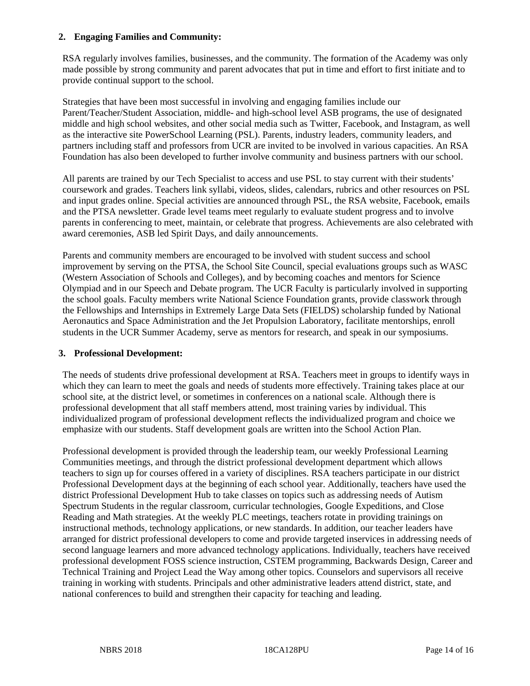## **2. Engaging Families and Community:**

RSA regularly involves families, businesses, and the community. The formation of the Academy was only made possible by strong community and parent advocates that put in time and effort to first initiate and to provide continual support to the school.

Strategies that have been most successful in involving and engaging families include our Parent/Teacher/Student Association, middle- and high-school level ASB programs, the use of designated middle and high school websites, and other social media such as Twitter, Facebook, and Instagram, as well as the interactive site PowerSchool Learning (PSL). Parents, industry leaders, community leaders, and partners including staff and professors from UCR are invited to be involved in various capacities. An RSA Foundation has also been developed to further involve community and business partners with our school.

All parents are trained by our Tech Specialist to access and use PSL to stay current with their students' coursework and grades. Teachers link syllabi, videos, slides, calendars, rubrics and other resources on PSL and input grades online. Special activities are announced through PSL, the RSA website, Facebook, emails and the PTSA newsletter. Grade level teams meet regularly to evaluate student progress and to involve parents in conferencing to meet, maintain, or celebrate that progress. Achievements are also celebrated with award ceremonies, ASB led Spirit Days, and daily announcements.

Parents and community members are encouraged to be involved with student success and school improvement by serving on the PTSA, the School Site Council, special evaluations groups such as WASC (Western Association of Schools and Colleges), and by becoming coaches and mentors for Science Olympiad and in our Speech and Debate program. The UCR Faculty is particularly involved in supporting the school goals. Faculty members write National Science Foundation grants, provide classwork through the Fellowships and Internships in Extremely Large Data Sets (FIELDS) scholarship funded by National Aeronautics and Space Administration and the Jet Propulsion Laboratory, facilitate mentorships, enroll students in the UCR Summer Academy, serve as mentors for research, and speak in our symposiums.

## **3. Professional Development:**

The needs of students drive professional development at RSA. Teachers meet in groups to identify ways in which they can learn to meet the goals and needs of students more effectively. Training takes place at our school site, at the district level, or sometimes in conferences on a national scale. Although there is professional development that all staff members attend, most training varies by individual. This individualized program of professional development reflects the individualized program and choice we emphasize with our students. Staff development goals are written into the School Action Plan.

Professional development is provided through the leadership team, our weekly Professional Learning Communities meetings, and through the district professional development department which allows teachers to sign up for courses offered in a variety of disciplines. RSA teachers participate in our district Professional Development days at the beginning of each school year. Additionally, teachers have used the district Professional Development Hub to take classes on topics such as addressing needs of Autism Spectrum Students in the regular classroom, curricular technologies, Google Expeditions, and Close Reading and Math strategies. At the weekly PLC meetings, teachers rotate in providing trainings on instructional methods, technology applications, or new standards. In addition, our teacher leaders have arranged for district professional developers to come and provide targeted inservices in addressing needs of second language learners and more advanced technology applications. Individually, teachers have received professional development FOSS science instruction, CSTEM programming, Backwards Design, Career and Technical Training and Project Lead the Way among other topics. Counselors and supervisors all receive training in working with students. Principals and other administrative leaders attend district, state, and national conferences to build and strengthen their capacity for teaching and leading.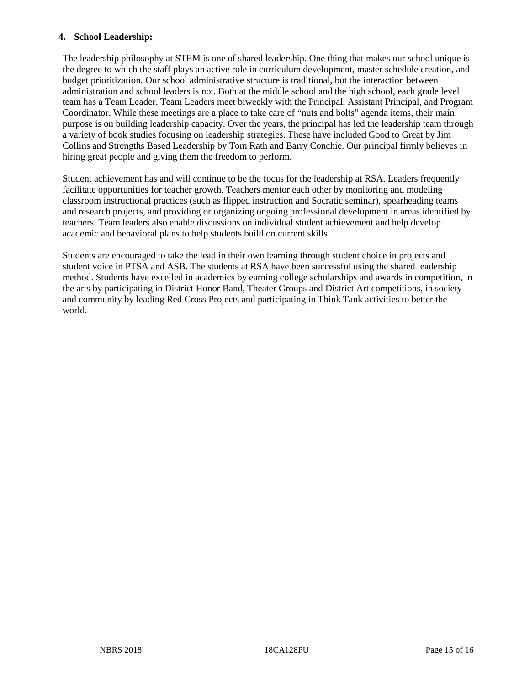## **4. School Leadership:**

The leadership philosophy at STEM is one of shared leadership. One thing that makes our school unique is the degree to which the staff plays an active role in curriculum development, master schedule creation, and budget prioritization. Our school administrative structure is traditional, but the interaction between administration and school leaders is not. Both at the middle school and the high school, each grade level team has a Team Leader. Team Leaders meet biweekly with the Principal, Assistant Principal, and Program Coordinator. While these meetings are a place to take care of "nuts and bolts" agenda items, their main purpose is on building leadership capacity. Over the years, the principal has led the leadership team through a variety of book studies focusing on leadership strategies. These have included Good to Great by Jim Collins and Strengths Based Leadership by Tom Rath and Barry Conchie. Our principal firmly believes in hiring great people and giving them the freedom to perform.

Student achievement has and will continue to be the focus for the leadership at RSA. Leaders frequently facilitate opportunities for teacher growth. Teachers mentor each other by monitoring and modeling classroom instructional practices (such as flipped instruction and Socratic seminar), spearheading teams and research projects, and providing or organizing ongoing professional development in areas identified by teachers. Team leaders also enable discussions on individual student achievement and help develop academic and behavioral plans to help students build on current skills.

Students are encouraged to take the lead in their own learning through student choice in projects and student voice in PTSA and ASB. The students at RSA have been successful using the shared leadership method. Students have excelled in academics by earning college scholarships and awards in competition, in the arts by participating in District Honor Band, Theater Groups and District Art competitions, in society and community by leading Red Cross Projects and participating in Think Tank activities to better the world.